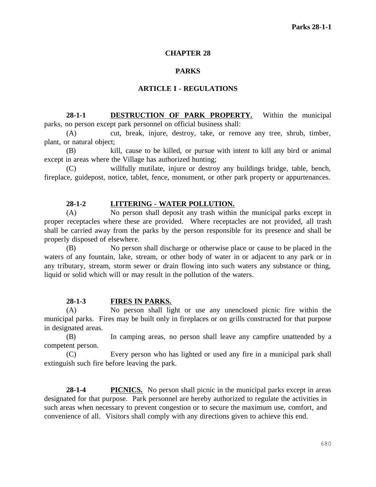# **CHAPTER 28**

# **PARKS**

#### **ARTICLE I - REGULATIONS**

**28-1-1 DESTRUCTION OF PARK PROPERTY.** Within the municipal parks, no person except park personnel on official business shall:

(A) cut, break, injure, destroy, take, or remove any tree, shrub, timber, plant, or natural object;

(B) kill, cause to be killed, or pursue with intent to kill any bird or animal except in areas where the Village has authorized hunting;

(C) willfully mutilate, injure or destroy any buildings bridge, table, bench, fireplace, guidepost, notice, tablet, fence, monument, or other park property or appurtenances.

# **28-1-2 LITTERING - WATER POLLUTION.**

(A) No person shall deposit any trash within the municipal parks except in proper receptacles where these are provided. Where receptacles are not provided, all trash shall be carried away from the parks by the person responsible for its presence and shall be properly disposed of elsewhere.

(B) No person shall discharge or otherwise place or cause to be placed in the waters of any fountain, lake, stream, or other body of water in or adjacent to any park or in any tributary, stream, storm sewer or drain flowing into such waters any substance or thing, liquid or solid which will or may result in the pollution of the waters.

# **28-1-3 FIRES IN PARKS.**

(A) No person shall light or use any unenclosed picnic fire within the municipal parks. Fires may be built only in fireplaces or on grills constructed for that purpose in designated areas.

(B) In camping areas, no person shall leave any campfire unattended by a competent person.

(C) Every person who has lighted or used any fire in a municipal park shall extinguish such fire before leaving the park.

**28-1-4 PICNICS.** No person shall picnic in the municipal parks except in areas designated for that purpose. Park personnel are hereby authorized to regulate the activities in such areas when necessary to prevent congestion or to secure the maximum use, comfort, and convenience of all. Visitors shall comply with any directions given to achieve this end.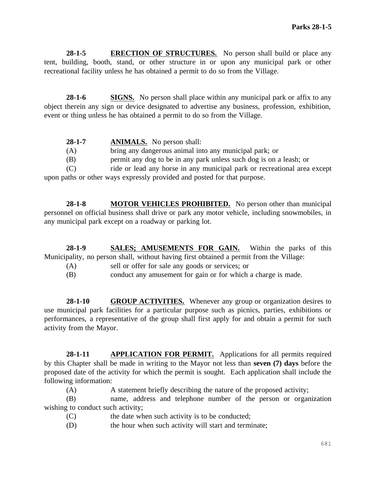**28-1-5 ERECTION OF STRUCTURES.** No person shall build or place any tent, building, booth, stand, or other structure in or upon any municipal park or other recreational facility unless he has obtained a permit to do so from the Village.

**28-1-6 SIGNS.** No person shall place within any municipal park or affix to any object therein any sign or device designated to advertise any business, profession, exhibition, event or thing unless he has obtained a permit to do so from the Village.

| $28-1-7$ | <b>ANIMALS.</b> No person shall:                                         |
|----------|--------------------------------------------------------------------------|
| (A)      | bring any dangerous animal into any municipal park; or                   |
| (B)      | permit any dog to be in any park unless such dog is on a leash; or       |
| (C)      | ride or lead any horse in any municipal park or recreational area except |
|          | upon paths or other ways expressly provided and posted for that purpose. |

**28-1-8 MOTOR VEHICLES PROHIBITED.** No person other than municipal personnel on official business shall drive or park any motor vehicle, including snowmobiles, in any municipal park except on a roadway or parking lot.

**28-1-9 SALES; AMUSEMENTS FOR GAIN.** Within the parks of this Municipality, no person shall, without having first obtained a permit from the Village:

- (A) sell or offer for sale any goods or services; or
- (B) conduct any amusement for gain or for which a charge is made.

**28-1-10 GROUP ACTIVITIES.** Whenever any group or organization desires to use municipal park facilities for a particular purpose such as picnics, parties, exhibitions or performances, a representative of the group shall first apply for and obtain a permit for such activity from the Mayor.

28-1-11 **APPLICATION FOR PERMIT.** Applications for all permits required by this Chapter shall be made in writing to the Mayor not less than **seven (7) days** before the proposed date of the activity for which the permit is sought. Each application shall include the following information:

(A) A statement briefly describing the nature of the proposed activity;

(B) name, address and telephone number of the person or organization wishing to conduct such activity;

- (C) the date when such activity is to be conducted;
- (D) the hour when such activity will start and terminate;